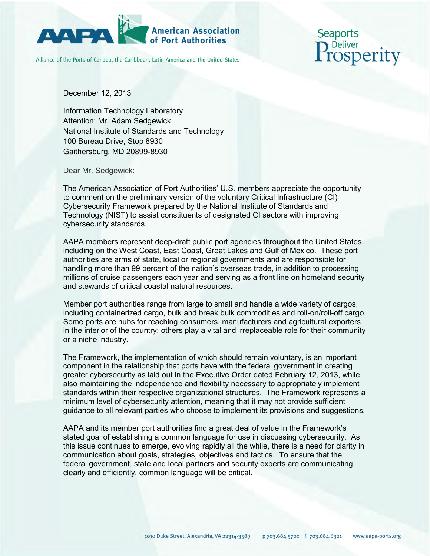

## **American Association**

Alliance of the Ports of Canada, the Caribbean, Latin America and the United States

Seaports **osperity** 

December 12, 2013

Information Technology Laboratory Attention: Mr. Adam Sedgewick National Institute of Standards and Technology 100 Bureau Drive, Stop 8930 Gaithersburg, MD 20899-8930

Dear Mr. Sedgewick:

The American Association of Port Authorities' U.S. members appreciate the opportunity to comment on the preliminary version of the voluntary Critical Infrastructure (CI) Cybersecurity Framework prepared by the National Institute of Standards and Technology (NIST) to assist constituents of designated CI sectors with improving cybersecurity standards.

AAPA members represent deep-draft public port agencies throughout the United States, including on the West Coast, East Coast, Great Lakes and Gulf of Mexico. These port authorities are arms of state, local or regional governments and are responsible for handling more than 99 percent of the nation's overseas trade, in addition to processing millions of cruise passengers each year and serving as a front line on homeland security and stewards of critical coastal natural resources.

Member port authorities range from large to small and handle a wide variety of cargos, including containerized cargo, bulk and break bulk commodities and roll-on/roll-off cargo. Some ports are hubs for reaching consumers, manufacturers and agricultural exporters in the interior of the country; others play a vital and irreplaceable role for their community or a niche industry.

The Framework, the implementation of which should remain voluntary, is an important component in the relationship that ports have with the federal government in creating greater cybersecurity as laid out in the Executive Order dated February 12, 2013, while also maintaining the independence and flexibility necessary to appropriately implement standards within their respective organizational structures. The Framework represents a minimum level of cybersecurity attention, meaning that it may not provide sufficient guidance to all relevant parties who choose to implement its provisions and suggestions.

AAPA and its member port authorities find a great deal of value in the Framework's stated goal of establishing a common language for use in discussing cybersecurity. As this issue continues to emerge, evolving rapidly all the while, there is a need for clarity in communication about goals, strategies, objectives and tactics. To ensure that the federal government, state and local partners and security experts are communicating clearly and efficiently, common language will be critical.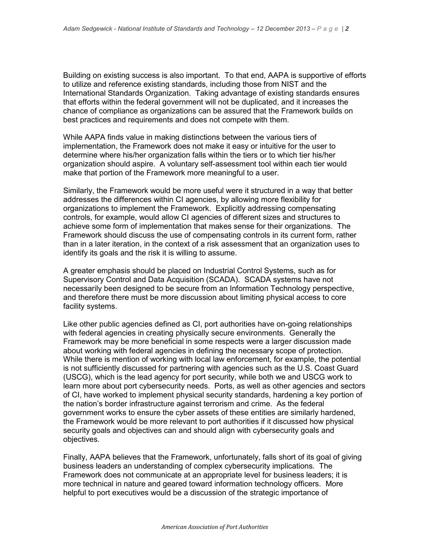Building on existing success is also important. To that end, AAPA is supportive of efforts to utilize and reference existing standards, including those from NIST and the International Standards Organization. Taking advantage of existing standards ensures that efforts within the federal government will not be duplicated, and it increases the chance of compliance as organizations can be assured that the Framework builds on best practices and requirements and does not compete with them.

While AAPA finds value in making distinctions between the various tiers of implementation, the Framework does not make it easy or intuitive for the user to determine where his/her organization falls within the tiers or to which tier his/her organization should aspire. A voluntary self-assessment tool within each tier would make that portion of the Framework more meaningful to a user.

Similarly, the Framework would be more useful were it structured in a way that better addresses the differences within CI agencies, by allowing more flexibility for organizations to implement the Framework. Explicitly addressing compensating controls, for example, would allow CI agencies of different sizes and structures to achieve some form of implementation that makes sense for their organizations. The Framework should discuss the use of compensating controls in its current form, rather than in a later iteration, in the context of a risk assessment that an organization uses to identify its goals and the risk it is willing to assume.

A greater emphasis should be placed on Industrial Control Systems, such as for Supervisory Control and Data Acquisition (SCADA). SCADA systems have not necessarily been designed to be secure from an Information Technology perspective, and therefore there must be more discussion about limiting physical access to core facility systems.

Like other public agencies defined as CI, port authorities have on-going relationships with federal agencies in creating physically secure environments. Generally the Framework may be more beneficial in some respects were a larger discussion made about working with federal agencies in defining the necessary scope of protection. While there is mention of working with local law enforcement, for example, the potential is not sufficiently discussed for partnering with agencies such as the U.S. Coast Guard (USCG), which is the lead agency for port security, while both we and USCG work to learn more about port cybersecurity needs. Ports, as well as other agencies and sectors of CI, have worked to implement physical security standards, hardening a key portion of the nation's border infrastructure against terrorism and crime. As the federal government works to ensure the cyber assets of these entities are similarly hardened, the Framework would be more relevant to port authorities if it discussed how physical security goals and objectives can and should align with cybersecurity goals and objectives.

Finally, AAPA believes that the Framework, unfortunately, falls short of its goal of giving business leaders an understanding of complex cybersecurity implications. The Framework does not communicate at an appropriate level for business leaders; it is more technical in nature and geared toward information technology officers. More helpful to port executives would be a discussion of the strategic importance of